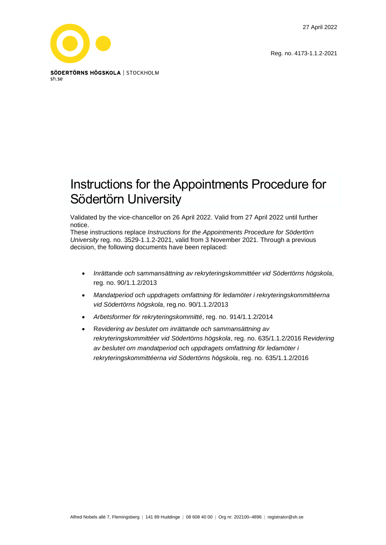27 April 2022

Reg. no. 4173-1.1.2-2021



# Instructions for the Appointments Procedure for Södertörn University

Validated by the vice-chancellor on 26 April 2022. Valid from 27 April 2022 until further notice.

These instructions replace *Instructions for the Appointments Procedure for Södertörn University* reg. no. 3529-1.1.2-2021, valid from 3 November 2021. Through a previous decision, the following documents have been replaced:

- *Inrättande och sammansättning av rekryteringskommittéer vid Södertörns högskola*, reg. no. 90/1.1.2/2013
- *Mandatperiod och uppdragets omfattning för ledamöter i rekryteringskommittéerna vid Södertörns högskola*, reg.no. 90/1.1.2/2013
- *Arbetsformer för rekryteringskommitté*, reg. no. 914/1.1.2/2014
- R*evidering av beslutet om inrättande och sammansättning av rekryteringskommittéer vid Södertörns högskola*, reg. no. 635/1.1.2/2016 R*evidering av beslutet om mandatperiod och uppdragets omfattning för ledamöter i rekryteringskommittéerna vid Södertörns högskola*, reg. no. 635/1.1.2/2016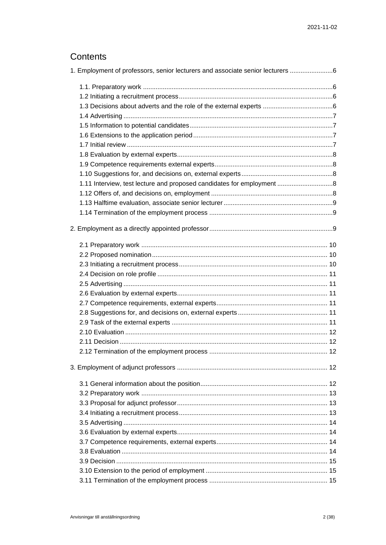# Contents

| 1. Employment of professors, senior lecturers and associate senior lecturers |  |
|------------------------------------------------------------------------------|--|
|                                                                              |  |
|                                                                              |  |
|                                                                              |  |
|                                                                              |  |
|                                                                              |  |
|                                                                              |  |
|                                                                              |  |
|                                                                              |  |
|                                                                              |  |
|                                                                              |  |
| 1.11 Interview, test lecture and proposed candidates for employment 8        |  |
|                                                                              |  |
|                                                                              |  |
|                                                                              |  |
|                                                                              |  |
|                                                                              |  |
|                                                                              |  |
|                                                                              |  |
|                                                                              |  |
|                                                                              |  |
|                                                                              |  |
|                                                                              |  |
|                                                                              |  |
|                                                                              |  |
|                                                                              |  |
|                                                                              |  |
|                                                                              |  |
|                                                                              |  |
|                                                                              |  |
|                                                                              |  |
|                                                                              |  |
|                                                                              |  |
|                                                                              |  |
|                                                                              |  |
|                                                                              |  |
|                                                                              |  |
|                                                                              |  |
|                                                                              |  |
|                                                                              |  |
|                                                                              |  |
|                                                                              |  |
|                                                                              |  |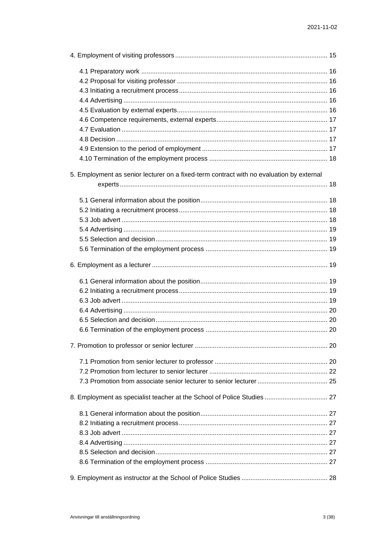| 5. Employment as senior lecturer on a fixed-term contract with no evaluation by external |  |  |  |
|------------------------------------------------------------------------------------------|--|--|--|
|                                                                                          |  |  |  |
|                                                                                          |  |  |  |
|                                                                                          |  |  |  |
|                                                                                          |  |  |  |
|                                                                                          |  |  |  |
|                                                                                          |  |  |  |
|                                                                                          |  |  |  |
|                                                                                          |  |  |  |
|                                                                                          |  |  |  |
|                                                                                          |  |  |  |
|                                                                                          |  |  |  |
|                                                                                          |  |  |  |
|                                                                                          |  |  |  |
|                                                                                          |  |  |  |
|                                                                                          |  |  |  |
|                                                                                          |  |  |  |
|                                                                                          |  |  |  |
|                                                                                          |  |  |  |
| 8. Employment as specialist teacher at the School of Police Studies  27                  |  |  |  |
|                                                                                          |  |  |  |
|                                                                                          |  |  |  |
|                                                                                          |  |  |  |
|                                                                                          |  |  |  |
|                                                                                          |  |  |  |
|                                                                                          |  |  |  |
|                                                                                          |  |  |  |
|                                                                                          |  |  |  |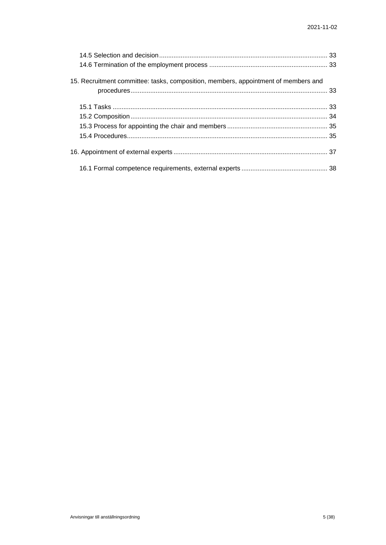| 15. Recruitment committee: tasks, composition, members, appointment of members and |  |
|------------------------------------------------------------------------------------|--|
|                                                                                    |  |
|                                                                                    |  |
|                                                                                    |  |
|                                                                                    |  |
|                                                                                    |  |
|                                                                                    |  |
|                                                                                    |  |
|                                                                                    |  |
|                                                                                    |  |
|                                                                                    |  |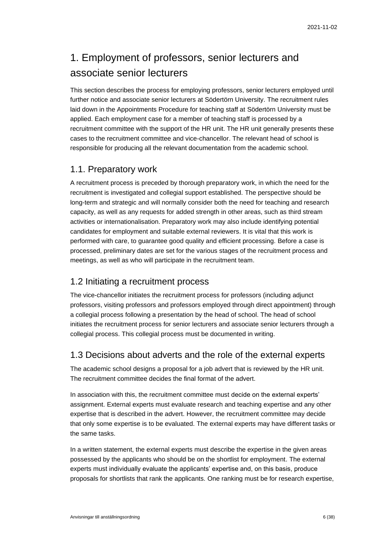# <span id="page-5-0"></span>1. Employment of professors, senior lecturers and associate senior lecturers

This section describes the process for employing professors, senior lecturers employed until further notice and associate senior lecturers at Södertörn University. The recruitment rules laid down in the Appointments Procedure for teaching staff at Södertörn University must be applied. Each employment case for a member of teaching staff is processed by a recruitment committee with the support of the HR unit. The HR unit generally presents these cases to the recruitment committee and vice-chancellor. The relevant head of school is responsible for producing all the relevant documentation from the academic school.

## <span id="page-5-1"></span>1.1. Preparatory work

A recruitment process is preceded by thorough preparatory work, in which the need for the recruitment is investigated and collegial support established. The perspective should be long-term and strategic and will normally consider both the need for teaching and research capacity, as well as any requests for added strength in other areas, such as third stream activities or internationalisation. Preparatory work may also include identifying potential candidates for employment and suitable external reviewers. It is vital that this work is performed with care, to guarantee good quality and efficient processing. Before a case is processed, preliminary dates are set for the various stages of the recruitment process and meetings, as well as who will participate in the recruitment team.

## <span id="page-5-2"></span>1.2 Initiating a recruitment process

The vice-chancellor initiates the recruitment process for professors (including adjunct professors, visiting professors and professors employed through direct appointment) through a collegial process following a presentation by the head of school. The head of school initiates the recruitment process for senior lecturers and associate senior lecturers through a collegial process. This collegial process must be documented in writing.

## <span id="page-5-3"></span>1.3 Decisions about adverts and the role of the external experts

The academic school designs a proposal for a job advert that is reviewed by the HR unit. The recruitment committee decides the final format of the advert.

In association with this, the recruitment committee must decide on the external experts' assignment. External experts must evaluate research and teaching expertise and any other expertise that is described in the advert. However, the recruitment committee may decide that only some expertise is to be evaluated. The external experts may have different tasks or the same tasks.

In a written statement, the external experts must describe the expertise in the given areas possessed by the applicants who should be on the shortlist for employment. The external experts must individually evaluate the applicants' expertise and, on this basis, produce proposals for shortlists that rank the applicants. One ranking must be for research expertise,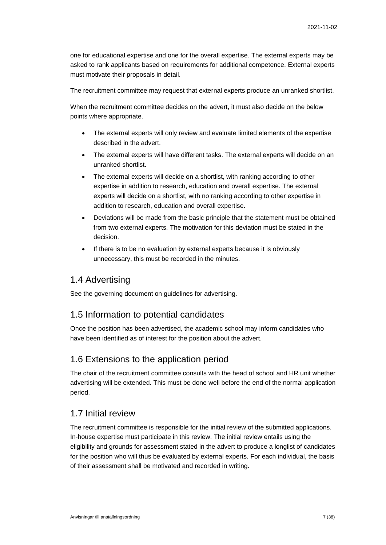one for educational expertise and one for the overall expertise. The external experts may be asked to rank applicants based on requirements for additional competence. External experts must motivate their proposals in detail.

The recruitment committee may request that external experts produce an unranked shortlist.

When the recruitment committee decides on the advert, it must also decide on the below points where appropriate.

- The external experts will only review and evaluate limited elements of the expertise described in the advert.
- The external experts will have different tasks. The external experts will decide on an unranked shortlist.
- The external experts will decide on a shortlist, with ranking according to other expertise in addition to research, education and overall expertise. The external experts will decide on a shortlist, with no ranking according to other expertise in addition to research, education and overall expertise.
- Deviations will be made from the basic principle that the statement must be obtained from two external experts. The motivation for this deviation must be stated in the decision.
- If there is to be no evaluation by external experts because it is obviously unnecessary, this must be recorded in the minutes.

## <span id="page-6-0"></span>1.4 Advertising

See the governing document on guidelines for advertising.

### <span id="page-6-1"></span>1.5 Information to potential candidates

Once the position has been advertised, the academic school may inform candidates who have been identified as of interest for the position about the advert.

### <span id="page-6-2"></span>1.6 Extensions to the application period

The chair of the recruitment committee consults with the head of school and HR unit whether advertising will be extended. This must be done well before the end of the normal application period.

## <span id="page-6-3"></span>1.7 Initial review

The recruitment committee is responsible for the initial review of the submitted applications. In-house expertise must participate in this review. The initial review entails using the eligibility and grounds for assessment stated in the advert to produce a longlist of candidates for the position who will thus be evaluated by external experts. For each individual, the basis of their assessment shall be motivated and recorded in writing.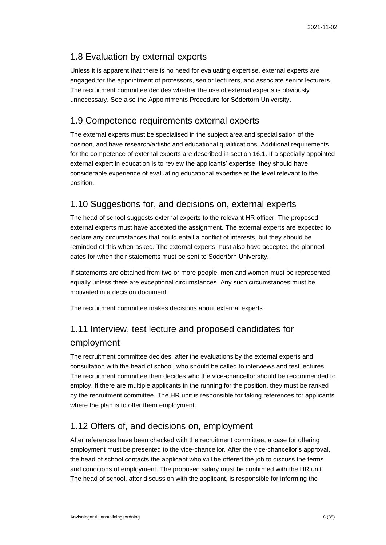# <span id="page-7-0"></span>1.8 Evaluation by external experts

Unless it is apparent that there is no need for evaluating expertise, external experts are engaged for the appointment of professors, senior lecturers, and associate senior lecturers. The recruitment committee decides whether the use of external experts is obviously unnecessary. See also the Appointments Procedure for Södertörn University.

# <span id="page-7-1"></span>1.9 Competence requirements external experts

The external experts must be specialised in the subject area and specialisation of the position, and have research/artistic and educational qualifications. Additional requirements for the competence of external experts are described in section 16.1. If a specially appointed external expert in education is to review the applicants' expertise, they should have considerable experience of evaluating educational expertise at the level relevant to the position.

# <span id="page-7-2"></span>1.10 Suggestions for, and decisions on, external experts

The head of school suggests external experts to the relevant HR officer. The proposed external experts must have accepted the assignment. The external experts are expected to declare any circumstances that could entail a conflict of interests, but they should be reminded of this when asked. The external experts must also have accepted the planned dates for when their statements must be sent to Södertörn University.

If statements are obtained from two or more people, men and women must be represented equally unless there are exceptional circumstances. Any such circumstances must be motivated in a decision document.

The recruitment committee makes decisions about external experts.

# <span id="page-7-3"></span>1.11 Interview, test lecture and proposed candidates for employment

The recruitment committee decides, after the evaluations by the external experts and consultation with the head of school, who should be called to interviews and test lectures. The recruitment committee then decides who the vice-chancellor should be recommended to employ. If there are multiple applicants in the running for the position, they must be ranked by the recruitment committee. The HR unit is responsible for taking references for applicants where the plan is to offer them employment.

# <span id="page-7-4"></span>1.12 Offers of, and decisions on, employment

After references have been checked with the recruitment committee, a case for offering employment must be presented to the vice-chancellor. After the vice-chancellor's approval, the head of school contacts the applicant who will be offered the job to discuss the terms and conditions of employment. The proposed salary must be confirmed with the HR unit. The head of school, after discussion with the applicant, is responsible for informing the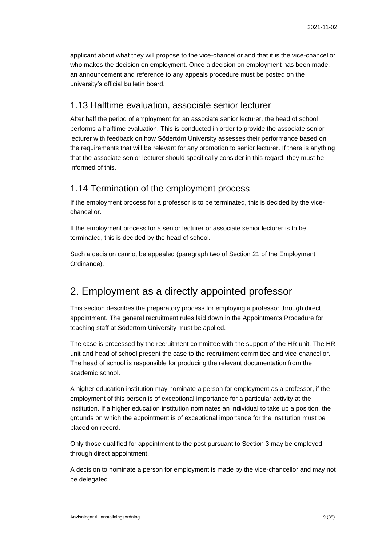applicant about what they will propose to the vice-chancellor and that it is the vice-chancellor who makes the decision on employment. Once a decision on employment has been made, an announcement and reference to any appeals procedure must be posted on the university's official bulletin board.

### <span id="page-8-0"></span>1.13 Halftime evaluation, associate senior lecturer

After half the period of employment for an associate senior lecturer, the head of school performs a halftime evaluation. This is conducted in order to provide the associate senior lecturer with feedback on how Södertörn University assesses their performance based on the requirements that will be relevant for any promotion to senior lecturer. If there is anything that the associate senior lecturer should specifically consider in this regard, they must be informed of this.

## <span id="page-8-1"></span>1.14 Termination of the employment process

If the employment process for a professor is to be terminated, this is decided by the vicechancellor.

If the employment process for a senior lecturer or associate senior lecturer is to be terminated, this is decided by the head of school.

Such a decision cannot be appealed (paragraph two of Section 21 of the Employment Ordinance).

# <span id="page-8-2"></span>2. Employment as a directly appointed professor

This section describes the preparatory process for employing a professor through direct appointment. The general recruitment rules laid down in the Appointments Procedure for teaching staff at Södertörn University must be applied.

The case is processed by the recruitment committee with the support of the HR unit. The HR unit and head of school present the case to the recruitment committee and vice-chancellor. The head of school is responsible for producing the relevant documentation from the academic school.

A higher education institution may nominate a person for employment as a professor, if the employment of this person is of exceptional importance for a particular activity at the institution. If a higher education institution nominates an individual to take up a position, the grounds on which the appointment is of exceptional importance for the institution must be placed on record.

Only those qualified for appointment to the post pursuant to Section 3 may be employed through direct appointment.

A decision to nominate a person for employment is made by the vice-chancellor and may not be delegated.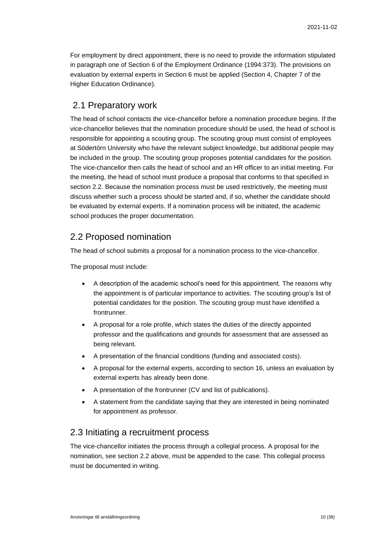For employment by direct appointment, there is no need to provide the information stipulated in paragraph one of Section 6 of the Employment Ordinance (1994:373). The provisions on evaluation by external experts in Section 6 must be applied (Section 4, Chapter 7 of the Higher Education Ordinance).

## <span id="page-9-0"></span>2.1 Preparatory work

The head of school contacts the vice-chancellor before a nomination procedure begins. If the vice-chancellor believes that the nomination procedure should be used, the head of school is responsible for appointing a scouting group. The scouting group must consist of employees at Södertörn University who have the relevant subject knowledge, but additional people may be included in the group. The scouting group proposes potential candidates for the position. The vice-chancellor then calls the head of school and an HR officer to an initial meeting. For the meeting, the head of school must produce a proposal that conforms to that specified in section 2.2. Because the nomination process must be used restrictively, the meeting must discuss whether such a process should be started and, if so, whether the candidate should be evaluated by external experts. If a nomination process will be initiated, the academic school produces the proper documentation.

## <span id="page-9-1"></span>2.2 Proposed nomination

The head of school submits a proposal for a nomination process to the vice-chancellor.

The proposal must include:

- A description of the academic school's need for this appointment. The reasons why the appointment is of particular importance to activities. The scouting group's list of potential candidates for the position. The scouting group must have identified a frontrunner.
- A proposal for a role profile, which states the duties of the directly appointed professor and the qualifications and grounds for assessment that are assessed as being relevant.
- A presentation of the financial conditions (funding and associated costs).
- A proposal for the external experts, according to section 16, unless an evaluation by external experts has already been done.
- A presentation of the frontrunner (CV and list of publications).
- A statement from the candidate saying that they are interested in being nominated for appointment as professor.

## <span id="page-9-2"></span>2.3 Initiating a recruitment process

The vice-chancellor initiates the process through a collegial process. A proposal for the nomination, see section 2.2 above, must be appended to the case. This collegial process must be documented in writing.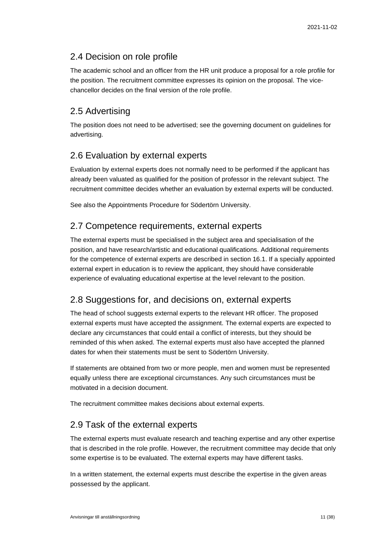## <span id="page-10-0"></span>2.4 Decision on role profile

The academic school and an officer from the HR unit produce a proposal for a role profile for the position. The recruitment committee expresses its opinion on the proposal. The vicechancellor decides on the final version of the role profile.

# <span id="page-10-1"></span>2.5 Advertising

The position does not need to be advertised; see the governing document on guidelines for advertising.

# <span id="page-10-2"></span>2.6 Evaluation by external experts

Evaluation by external experts does not normally need to be performed if the applicant has already been valuated as qualified for the position of professor in the relevant subject. The recruitment committee decides whether an evaluation by external experts will be conducted.

See also the Appointments Procedure for Södertörn University.

# <span id="page-10-3"></span>2.7 Competence requirements, external experts

The external experts must be specialised in the subject area and specialisation of the position, and have research/artistic and educational qualifications. Additional requirements for the competence of external experts are described in section 16.1. If a specially appointed external expert in education is to review the applicant, they should have considerable experience of evaluating educational expertise at the level relevant to the position.

# <span id="page-10-4"></span>2.8 Suggestions for, and decisions on, external experts

The head of school suggests external experts to the relevant HR officer. The proposed external experts must have accepted the assignment. The external experts are expected to declare any circumstances that could entail a conflict of interests, but they should be reminded of this when asked. The external experts must also have accepted the planned dates for when their statements must be sent to Södertörn University.

If statements are obtained from two or more people, men and women must be represented equally unless there are exceptional circumstances. Any such circumstances must be motivated in a decision document.

The recruitment committee makes decisions about external experts.

## <span id="page-10-5"></span>2.9 Task of the external experts

The external experts must evaluate research and teaching expertise and any other expertise that is described in the role profile. However, the recruitment committee may decide that only some expertise is to be evaluated. The external experts may have different tasks.

In a written statement, the external experts must describe the expertise in the given areas possessed by the applicant.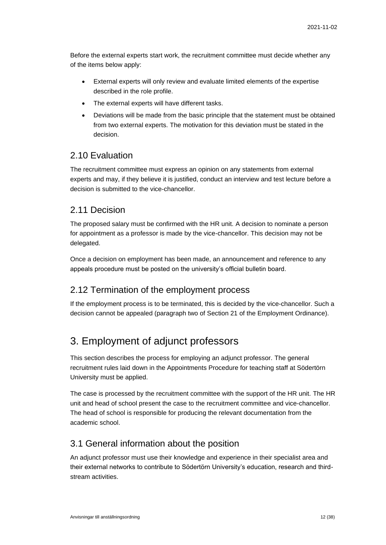Before the external experts start work, the recruitment committee must decide whether any of the items below apply:

- External experts will only review and evaluate limited elements of the expertise described in the role profile.
- The external experts will have different tasks.
- Deviations will be made from the basic principle that the statement must be obtained from two external experts. The motivation for this deviation must be stated in the decision.

## <span id="page-11-0"></span>2.10 Evaluation

The recruitment committee must express an opinion on any statements from external experts and may, if they believe it is justified, conduct an interview and test lecture before a decision is submitted to the vice-chancellor.

## <span id="page-11-1"></span>2.11 Decision

The proposed salary must be confirmed with the HR unit. A decision to nominate a person for appointment as a professor is made by the vice-chancellor. This decision may not be delegated.

Once a decision on employment has been made, an announcement and reference to any appeals procedure must be posted on the university's official bulletin board.

### <span id="page-11-2"></span>2.12 Termination of the employment process

If the employment process is to be terminated, this is decided by the vice-chancellor. Such a decision cannot be appealed (paragraph two of Section 21 of the Employment Ordinance).

# <span id="page-11-3"></span>3. Employment of adjunct professors

This section describes the process for employing an adjunct professor. The general recruitment rules laid down in the Appointments Procedure for teaching staff at Södertörn University must be applied.

The case is processed by the recruitment committee with the support of the HR unit. The HR unit and head of school present the case to the recruitment committee and vice-chancellor. The head of school is responsible for producing the relevant documentation from the academic school.

### <span id="page-11-4"></span>3.1 General information about the position

An adjunct professor must use their knowledge and experience in their specialist area and their external networks to contribute to Södertörn University's education, research and thirdstream activities.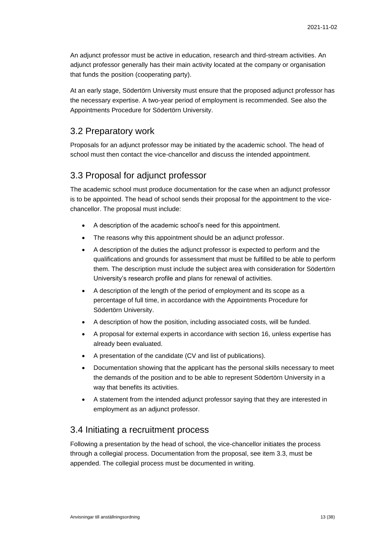An adjunct professor must be active in education, research and third-stream activities. An adjunct professor generally has their main activity located at the company or organisation that funds the position (cooperating party).

At an early stage, Södertörn University must ensure that the proposed adjunct professor has the necessary expertise. A two-year period of employment is recommended. See also the Appointments Procedure for Södertörn University.

## <span id="page-12-0"></span>3.2 Preparatory work

Proposals for an adjunct professor may be initiated by the academic school. The head of school must then contact the vice-chancellor and discuss the intended appointment.

## <span id="page-12-1"></span>3.3 Proposal for adjunct professor

The academic school must produce documentation for the case when an adjunct professor is to be appointed. The head of school sends their proposal for the appointment to the vicechancellor. The proposal must include:

- A description of the academic school's need for this appointment.
- The reasons why this appointment should be an adjunct professor.
- A description of the duties the adjunct professor is expected to perform and the qualifications and grounds for assessment that must be fulfilled to be able to perform them. The description must include the subject area with consideration for Södertörn University's research profile and plans for renewal of activities.
- A description of the length of the period of employment and its scope as a percentage of full time, in accordance with the Appointments Procedure for Södertörn University.
- A description of how the position, including associated costs, will be funded.
- A proposal for external experts in accordance with section 16, unless expertise has already been evaluated.
- A presentation of the candidate (CV and list of publications).
- Documentation showing that the applicant has the personal skills necessary to meet the demands of the position and to be able to represent Södertörn University in a way that benefits its activities.
- A statement from the intended adjunct professor saying that they are interested in employment as an adjunct professor.

## <span id="page-12-2"></span>3.4 Initiating a recruitment process

Following a presentation by the head of school, the vice-chancellor initiates the process through a collegial process. Documentation from the proposal, see item 3.3, must be appended. The collegial process must be documented in writing.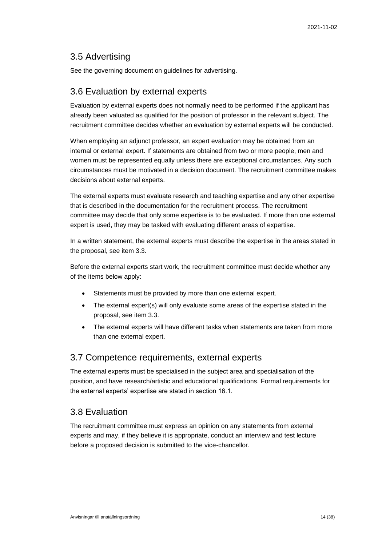## <span id="page-13-0"></span>3.5 Advertising

See the governing document on guidelines for advertising.

## <span id="page-13-1"></span>3.6 Evaluation by external experts

Evaluation by external experts does not normally need to be performed if the applicant has already been valuated as qualified for the position of professor in the relevant subject. The recruitment committee decides whether an evaluation by external experts will be conducted.

When employing an adjunct professor, an expert evaluation may be obtained from an internal or external expert. If statements are obtained from two or more people, men and women must be represented equally unless there are exceptional circumstances. Any such circumstances must be motivated in a decision document. The recruitment committee makes decisions about external experts.

The external experts must evaluate research and teaching expertise and any other expertise that is described in the documentation for the recruitment process. The recruitment committee may decide that only some expertise is to be evaluated. If more than one external expert is used, they may be tasked with evaluating different areas of expertise.

In a written statement, the external experts must describe the expertise in the areas stated in the proposal, see item 3.3.

Before the external experts start work, the recruitment committee must decide whether any of the items below apply:

- Statements must be provided by more than one external expert.
- The external expert(s) will only evaluate some areas of the expertise stated in the proposal, see item 3.3.
- The external experts will have different tasks when statements are taken from more than one external expert.

## <span id="page-13-2"></span>3.7 Competence requirements, external experts

The external experts must be specialised in the subject area and specialisation of the position, and have research/artistic and educational qualifications. Formal requirements for the external experts' expertise are stated in section 16.1.

# <span id="page-13-3"></span>3.8 Evaluation

The recruitment committee must express an opinion on any statements from external experts and may, if they believe it is appropriate, conduct an interview and test lecture before a proposed decision is submitted to the vice-chancellor.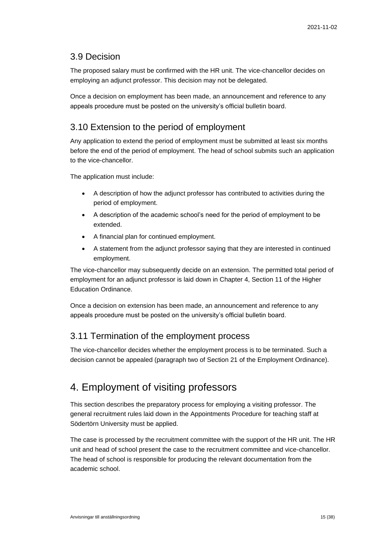## <span id="page-14-0"></span>3.9 Decision

The proposed salary must be confirmed with the HR unit. The vice-chancellor decides on employing an adjunct professor. This decision may not be delegated.

Once a decision on employment has been made, an announcement and reference to any appeals procedure must be posted on the university's official bulletin board.

# <span id="page-14-1"></span>3.10 Extension to the period of employment

Any application to extend the period of employment must be submitted at least six months before the end of the period of employment. The head of school submits such an application to the vice-chancellor.

The application must include:

- A description of how the adjunct professor has contributed to activities during the period of employment.
- A description of the academic school's need for the period of employment to be extended.
- A financial plan for continued employment.
- A statement from the adjunct professor saying that they are interested in continued employment.

The vice-chancellor may subsequently decide on an extension. The permitted total period of employment for an adjunct professor is laid down in Chapter 4, Section 11 of the Higher Education Ordinance.

Once a decision on extension has been made, an announcement and reference to any appeals procedure must be posted on the university's official bulletin board.

# <span id="page-14-2"></span>3.11 Termination of the employment process

The vice-chancellor decides whether the employment process is to be terminated. Such a decision cannot be appealed (paragraph two of Section 21 of the Employment Ordinance).

# <span id="page-14-3"></span>4. Employment of visiting professors

This section describes the preparatory process for employing a visiting professor. The general recruitment rules laid down in the Appointments Procedure for teaching staff at Södertörn University must be applied.

The case is processed by the recruitment committee with the support of the HR unit. The HR unit and head of school present the case to the recruitment committee and vice-chancellor. The head of school is responsible for producing the relevant documentation from the academic school.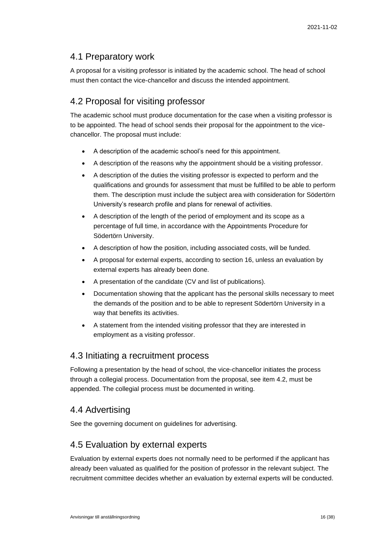# <span id="page-15-0"></span>4.1 Preparatory work

A proposal for a visiting professor is initiated by the academic school. The head of school must then contact the vice-chancellor and discuss the intended appointment.

# <span id="page-15-1"></span>4.2 Proposal for visiting professor

The academic school must produce documentation for the case when a visiting professor is to be appointed. The head of school sends their proposal for the appointment to the vicechancellor. The proposal must include:

- A description of the academic school's need for this appointment.
- A description of the reasons why the appointment should be a visiting professor.
- A description of the duties the visiting professor is expected to perform and the qualifications and grounds for assessment that must be fulfilled to be able to perform them. The description must include the subject area with consideration for Södertörn University's research profile and plans for renewal of activities.
- A description of the length of the period of employment and its scope as a percentage of full time, in accordance with the Appointments Procedure for Södertörn University.
- A description of how the position, including associated costs, will be funded.
- A proposal for external experts, according to section 16, unless an evaluation by external experts has already been done.
- A presentation of the candidate (CV and list of publications).
- Documentation showing that the applicant has the personal skills necessary to meet the demands of the position and to be able to represent Södertörn University in a way that benefits its activities.
- A statement from the intended visiting professor that they are interested in employment as a visiting professor.

## <span id="page-15-2"></span>4.3 Initiating a recruitment process

Following a presentation by the head of school, the vice-chancellor initiates the process through a collegial process. Documentation from the proposal, see item 4.2, must be appended. The collegial process must be documented in writing.

# <span id="page-15-3"></span>4.4 Advertising

See the governing document on guidelines for advertising.

# <span id="page-15-4"></span>4.5 Evaluation by external experts

Evaluation by external experts does not normally need to be performed if the applicant has already been valuated as qualified for the position of professor in the relevant subject. The recruitment committee decides whether an evaluation by external experts will be conducted.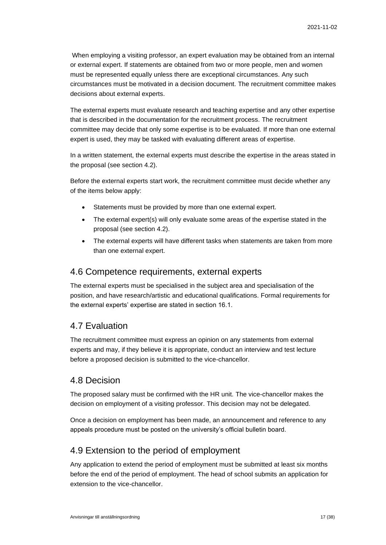When employing a visiting professor, an expert evaluation may be obtained from an internal or external expert. If statements are obtained from two or more people, men and women must be represented equally unless there are exceptional circumstances. Any such circumstances must be motivated in a decision document. The recruitment committee makes decisions about external experts.

The external experts must evaluate research and teaching expertise and any other expertise that is described in the documentation for the recruitment process. The recruitment committee may decide that only some expertise is to be evaluated. If more than one external expert is used, they may be tasked with evaluating different areas of expertise.

In a written statement, the external experts must describe the expertise in the areas stated in the proposal (see section 4.2).

Before the external experts start work, the recruitment committee must decide whether any of the items below apply:

- Statements must be provided by more than one external expert.
- The external expert(s) will only evaluate some areas of the expertise stated in the proposal (see section 4.2).
- The external experts will have different tasks when statements are taken from more than one external expert.

### <span id="page-16-0"></span>4.6 Competence requirements, external experts

The external experts must be specialised in the subject area and specialisation of the position, and have research/artistic and educational qualifications. Formal requirements for the external experts' expertise are stated in section 16.1.

## <span id="page-16-1"></span>4.7 Evaluation

The recruitment committee must express an opinion on any statements from external experts and may, if they believe it is appropriate, conduct an interview and test lecture before a proposed decision is submitted to the vice-chancellor.

### <span id="page-16-2"></span>4.8 Decision

The proposed salary must be confirmed with the HR unit. The vice-chancellor makes the decision on employment of a visiting professor. This decision may not be delegated.

Once a decision on employment has been made, an announcement and reference to any appeals procedure must be posted on the university's official bulletin board.

## <span id="page-16-3"></span>4.9 Extension to the period of employment

Any application to extend the period of employment must be submitted at least six months before the end of the period of employment. The head of school submits an application for extension to the vice-chancellor.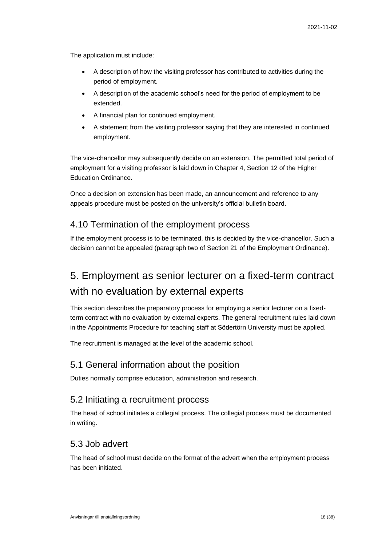The application must include:

- A description of how the visiting professor has contributed to activities during the period of employment.
- A description of the academic school's need for the period of employment to be extended.
- A financial plan for continued employment.
- A statement from the visiting professor saying that they are interested in continued employment.

The vice-chancellor may subsequently decide on an extension. The permitted total period of employment for a visiting professor is laid down in Chapter 4, Section 12 of the Higher Education Ordinance.

Once a decision on extension has been made, an announcement and reference to any appeals procedure must be posted on the university's official bulletin board.

## <span id="page-17-0"></span>4.10 Termination of the employment process

If the employment process is to be terminated, this is decided by the vice-chancellor. Such a decision cannot be appealed (paragraph two of Section 21 of the Employment Ordinance).

# <span id="page-17-1"></span>5. Employment as senior lecturer on a fixed-term contract with no evaluation by external experts

This section describes the preparatory process for employing a senior lecturer on a fixedterm contract with no evaluation by external experts. The general recruitment rules laid down in the Appointments Procedure for teaching staff at Södertörn University must be applied.

The recruitment is managed at the level of the academic school.

### <span id="page-17-2"></span>5.1 General information about the position

Duties normally comprise education, administration and research.

## <span id="page-17-3"></span>5.2 Initiating a recruitment process

The head of school initiates a collegial process. The collegial process must be documented in writing.

## <span id="page-17-4"></span>5.3 Job advert

The head of school must decide on the format of the advert when the employment process has been initiated.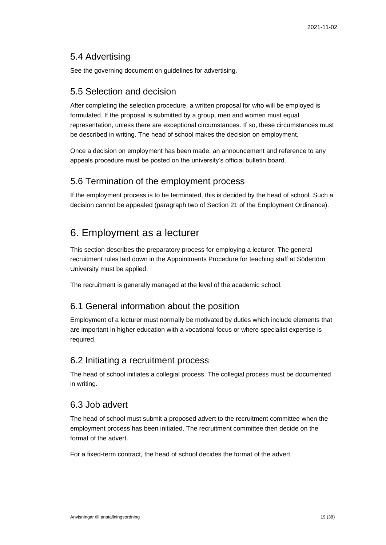# <span id="page-18-0"></span>5.4 Advertising

See the governing document on guidelines for advertising.

## <span id="page-18-1"></span>5.5 Selection and decision

After completing the selection procedure, a written proposal for who will be employed is formulated. If the proposal is submitted by a group, men and women must equal representation, unless there are exceptional circumstances. If so, these circumstances must be described in writing. The head of school makes the decision on employment.

Once a decision on employment has been made, an announcement and reference to any appeals procedure must be posted on the university's official bulletin board.

# <span id="page-18-2"></span>5.6 Termination of the employment process

If the employment process is to be terminated, this is decided by the head of school. Such a decision cannot be appealed (paragraph two of Section 21 of the Employment Ordinance).

# <span id="page-18-3"></span>6. Employment as a lecturer

This section describes the preparatory process for employing a lecturer. The general recruitment rules laid down in the Appointments Procedure for teaching staff at Södertörn University must be applied.

The recruitment is generally managed at the level of the academic school.

# <span id="page-18-4"></span>6.1 General information about the position

Employment of a lecturer must normally be motivated by duties which include elements that are important in higher education with a vocational focus or where specialist expertise is required.

# <span id="page-18-5"></span>6.2 Initiating a recruitment process

The head of school initiates a collegial process. The collegial process must be documented in writing.

## <span id="page-18-6"></span>6.3 Job advert

The head of school must submit a proposed advert to the recruitment committee when the employment process has been initiated. The recruitment committee then decide on the format of the advert.

For a fixed-term contract, the head of school decides the format of the advert.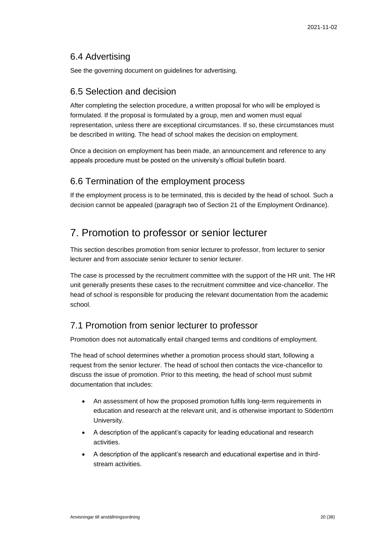## <span id="page-19-0"></span>6.4 Advertising

See the governing document on guidelines for advertising.

### <span id="page-19-1"></span>6.5 Selection and decision

After completing the selection procedure, a written proposal for who will be employed is formulated. If the proposal is formulated by a group, men and women must equal representation, unless there are exceptional circumstances. If so, these circumstances must be described in writing. The head of school makes the decision on employment.

Once a decision on employment has been made, an announcement and reference to any appeals procedure must be posted on the university's official bulletin board.

## <span id="page-19-2"></span>6.6 Termination of the employment process

If the employment process is to be terminated, this is decided by the head of school. Such a decision cannot be appealed (paragraph two of Section 21 of the Employment Ordinance).

# <span id="page-19-3"></span>7. Promotion to professor or senior lecturer

This section describes promotion from senior lecturer to professor, from lecturer to senior lecturer and from associate senior lecturer to senior lecturer.

The case is processed by the recruitment committee with the support of the HR unit. The HR unit generally presents these cases to the recruitment committee and vice-chancellor. The head of school is responsible for producing the relevant documentation from the academic school.

## <span id="page-19-4"></span>7.1 Promotion from senior lecturer to professor

Promotion does not automatically entail changed terms and conditions of employment.

The head of school determines whether a promotion process should start, following a request from the senior lecturer. The head of school then contacts the vice-chancellor to discuss the issue of promotion. Prior to this meeting, the head of school must submit documentation that includes:

- An assessment of how the proposed promotion fulfils long-term requirements in education and research at the relevant unit, and is otherwise important to Södertörn University.
- A description of the applicant's capacity for leading educational and research activities.
- A description of the applicant's research and educational expertise and in thirdstream activities.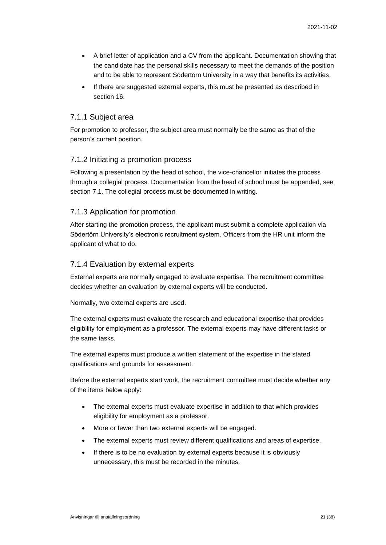- A brief letter of application and a CV from the applicant. Documentation showing that the candidate has the personal skills necessary to meet the demands of the position and to be able to represent Södertörn University in a way that benefits its activities.
- If there are suggested external experts, this must be presented as described in section 16.

#### 7.1.1 Subject area

For promotion to professor, the subject area must normally be the same as that of the person's current position.

#### 7.1.2 Initiating a promotion process

Following a presentation by the head of school, the vice-chancellor initiates the process through a collegial process. Documentation from the head of school must be appended, see section 7.1. The collegial process must be documented in writing.

#### 7.1.3 Application for promotion

After starting the promotion process, the applicant must submit a complete application via Södertörn University's electronic recruitment system. Officers from the HR unit inform the applicant of what to do.

#### 7.1.4 Evaluation by external experts

External experts are normally engaged to evaluate expertise. The recruitment committee decides whether an evaluation by external experts will be conducted.

Normally, two external experts are used.

The external experts must evaluate the research and educational expertise that provides eligibility for employment as a professor. The external experts may have different tasks or the same tasks.

The external experts must produce a written statement of the expertise in the stated qualifications and grounds for assessment.

Before the external experts start work, the recruitment committee must decide whether any of the items below apply:

- The external experts must evaluate expertise in addition to that which provides eligibility for employment as a professor.
- More or fewer than two external experts will be engaged.
- The external experts must review different qualifications and areas of expertise.
- If there is to be no evaluation by external experts because it is obviously unnecessary, this must be recorded in the minutes.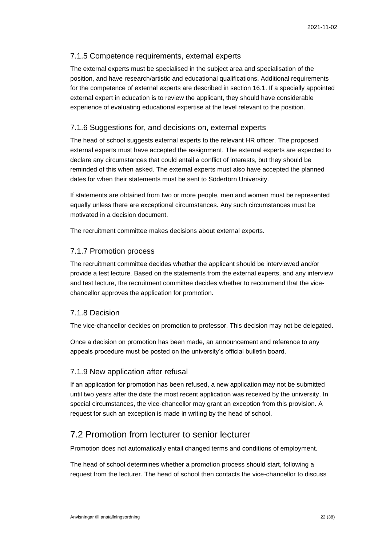#### 7.1.5 Competence requirements, external experts

The external experts must be specialised in the subject area and specialisation of the position, and have research/artistic and educational qualifications. Additional requirements for the competence of external experts are described in section 16.1. If a specially appointed external expert in education is to review the applicant, they should have considerable experience of evaluating educational expertise at the level relevant to the position.

#### 7.1.6 Suggestions for, and decisions on, external experts

The head of school suggests external experts to the relevant HR officer. The proposed external experts must have accepted the assignment. The external experts are expected to declare any circumstances that could entail a conflict of interests, but they should be reminded of this when asked. The external experts must also have accepted the planned dates for when their statements must be sent to Södertörn University.

If statements are obtained from two or more people, men and women must be represented equally unless there are exceptional circumstances. Any such circumstances must be motivated in a decision document.

The recruitment committee makes decisions about external experts.

#### 7.1.7 Promotion process

The recruitment committee decides whether the applicant should be interviewed and/or provide a test lecture. Based on the statements from the external experts, and any interview and test lecture, the recruitment committee decides whether to recommend that the vicechancellor approves the application for promotion.

#### 7.1.8 Decision

The vice-chancellor decides on promotion to professor. This decision may not be delegated.

Once a decision on promotion has been made, an announcement and reference to any appeals procedure must be posted on the university's official bulletin board.

#### 7.1.9 New application after refusal

If an application for promotion has been refused, a new application may not be submitted until two years after the date the most recent application was received by the university. In special circumstances, the vice-chancellor may grant an exception from this provision. A request for such an exception is made in writing by the head of school.

## <span id="page-21-0"></span>7.2 Promotion from lecturer to senior lecturer

Promotion does not automatically entail changed terms and conditions of employment.

The head of school determines whether a promotion process should start, following a request from the lecturer. The head of school then contacts the vice-chancellor to discuss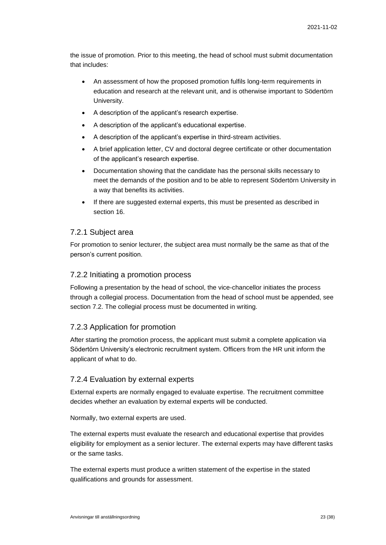the issue of promotion. Prior to this meeting, the head of school must submit documentation that includes:

- An assessment of how the proposed promotion fulfils long-term requirements in education and research at the relevant unit, and is otherwise important to Södertörn University.
- A description of the applicant's research expertise.
- A description of the applicant's educational expertise.
- A description of the applicant's expertise in third-stream activities.
- A brief application letter, CV and doctoral degree certificate or other documentation of the applicant's research expertise.
- Documentation showing that the candidate has the personal skills necessary to meet the demands of the position and to be able to represent Södertörn University in a way that benefits its activities.
- If there are suggested external experts, this must be presented as described in section 16.

#### 7.2.1 Subject area

For promotion to senior lecturer, the subject area must normally be the same as that of the person's current position.

#### 7.2.2 Initiating a promotion process

Following a presentation by the head of school, the vice-chancellor initiates the process through a collegial process. Documentation from the head of school must be appended, see section 7.2. The collegial process must be documented in writing.

#### 7.2.3 Application for promotion

After starting the promotion process, the applicant must submit a complete application via Södertörn University's electronic recruitment system. Officers from the HR unit inform the applicant of what to do.

#### 7.2.4 Evaluation by external experts

External experts are normally engaged to evaluate expertise. The recruitment committee decides whether an evaluation by external experts will be conducted.

Normally, two external experts are used.

The external experts must evaluate the research and educational expertise that provides eligibility for employment as a senior lecturer. The external experts may have different tasks or the same tasks.

The external experts must produce a written statement of the expertise in the stated qualifications and grounds for assessment.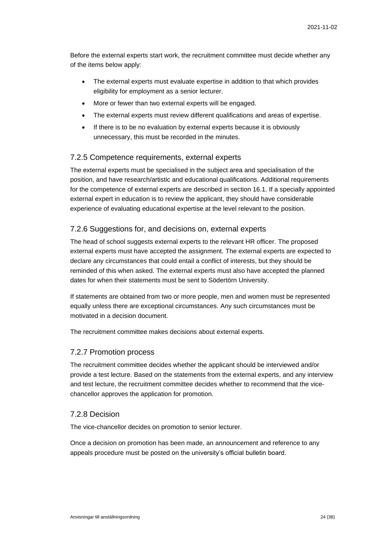Before the external experts start work, the recruitment committee must decide whether any of the items below apply:

- The external experts must evaluate expertise in addition to that which provides eligibility for employment as a senior lecturer.
- More or fewer than two external experts will be engaged.
- The external experts must review different qualifications and areas of expertise.
- If there is to be no evaluation by external experts because it is obviously unnecessary, this must be recorded in the minutes.

#### 7.2.5 Competence requirements, external experts

The external experts must be specialised in the subject area and specialisation of the position, and have research/artistic and educational qualifications. Additional requirements for the competence of external experts are described in section 16.1. If a specially appointed external expert in education is to review the applicant, they should have considerable experience of evaluating educational expertise at the level relevant to the position.

#### 7.2.6 Suggestions for, and decisions on, external experts

The head of school suggests external experts to the relevant HR officer. The proposed external experts must have accepted the assignment. The external experts are expected to declare any circumstances that could entail a conflict of interests, but they should be reminded of this when asked. The external experts must also have accepted the planned dates for when their statements must be sent to Södertörn University.

If statements are obtained from two or more people, men and women must be represented equally unless there are exceptional circumstances. Any such circumstances must be motivated in a decision document.

The recruitment committee makes decisions about external experts.

#### 7.2.7 Promotion process

The recruitment committee decides whether the applicant should be interviewed and/or provide a test lecture. Based on the statements from the external experts, and any interview and test lecture, the recruitment committee decides whether to recommend that the vicechancellor approves the application for promotion.

#### 7.2.8 Decision

The vice-chancellor decides on promotion to senior lecturer.

Once a decision on promotion has been made, an announcement and reference to any appeals procedure must be posted on the university's official bulletin board.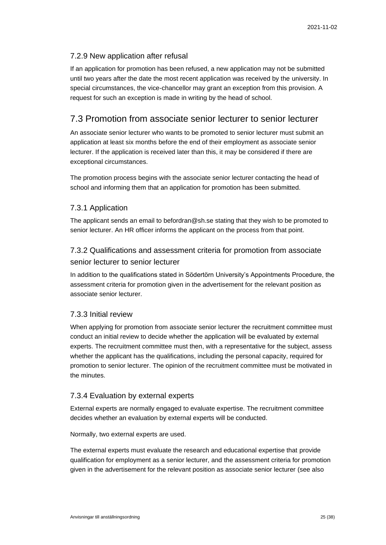#### 7.2.9 New application after refusal

If an application for promotion has been refused, a new application may not be submitted until two years after the date the most recent application was received by the university. In special circumstances, the vice-chancellor may grant an exception from this provision. A request for such an exception is made in writing by the head of school.

## <span id="page-24-0"></span>7.3 Promotion from associate senior lecturer to senior lecturer

An associate senior lecturer who wants to be promoted to senior lecturer must submit an application at least six months before the end of their employment as associate senior lecturer. If the application is received later than this, it may be considered if there are exceptional circumstances.

The promotion process begins with the associate senior lecturer contacting the head of school and informing them that an application for promotion has been submitted.

#### 7.3.1 Application

The applicant sends an email to befordran@sh.se stating that they wish to be promoted to senior lecturer. An HR officer informs the applicant on the process from that point.

## 7.3.2 Qualifications and assessment criteria for promotion from associate senior lecturer to senior lecturer

In addition to the qualifications stated in Södertörn University's Appointments Procedure, the assessment criteria for promotion given in the advertisement for the relevant position as associate senior lecturer.

#### 7.3.3 Initial review

When applying for promotion from associate senior lecturer the recruitment committee must conduct an initial review to decide whether the application will be evaluated by external experts. The recruitment committee must then, with a representative for the subject, assess whether the applicant has the qualifications, including the personal capacity, required for promotion to senior lecturer. The opinion of the recruitment committee must be motivated in the minutes.

#### 7.3.4 Evaluation by external experts

External experts are normally engaged to evaluate expertise. The recruitment committee decides whether an evaluation by external experts will be conducted.

Normally, two external experts are used.

The external experts must evaluate the research and educational expertise that provide qualification for employment as a senior lecturer, and the assessment criteria for promotion given in the advertisement for the relevant position as associate senior lecturer (see also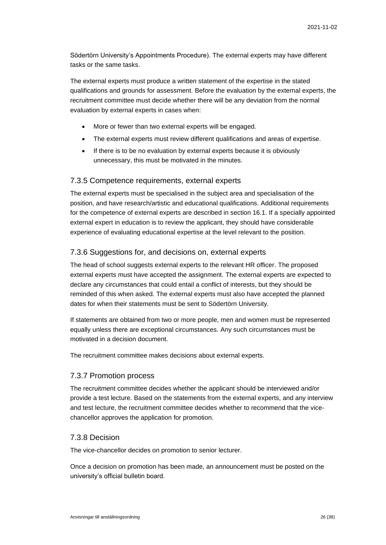Södertörn University's Appointments Procedure). The external experts may have different tasks or the same tasks.

The external experts must produce a written statement of the expertise in the stated qualifications and grounds for assessment. Before the evaluation by the external experts, the recruitment committee must decide whether there will be any deviation from the normal evaluation by external experts in cases when:

- More or fewer than two external experts will be engaged.
- The external experts must review different qualifications and areas of expertise.
- If there is to be no evaluation by external experts because it is obviously unnecessary, this must be motivated in the minutes.

#### 7.3.5 Competence requirements, external experts

The external experts must be specialised in the subject area and specialisation of the position, and have research/artistic and educational qualifications. Additional requirements for the competence of external experts are described in section 16.1. If a specially appointed external expert in education is to review the applicant, they should have considerable experience of evaluating educational expertise at the level relevant to the position.

#### 7.3.6 Suggestions for, and decisions on, external experts

The head of school suggests external experts to the relevant HR officer. The proposed external experts must have accepted the assignment. The external experts are expected to declare any circumstances that could entail a conflict of interests, but they should be reminded of this when asked. The external experts must also have accepted the planned dates for when their statements must be sent to Södertörn University.

If statements are obtained from two or more people, men and women must be represented equally unless there are exceptional circumstances. Any such circumstances must be motivated in a decision document.

The recruitment committee makes decisions about external experts.

#### 7.3.7 Promotion process

The recruitment committee decides whether the applicant should be interviewed and/or provide a test lecture. Based on the statements from the external experts, and any interview and test lecture, the recruitment committee decides whether to recommend that the vicechancellor approves the application for promotion.

#### 7.3.8 Decision

The vice-chancellor decides on promotion to senior lecturer.

Once a decision on promotion has been made, an announcement must be posted on the university's official bulletin board.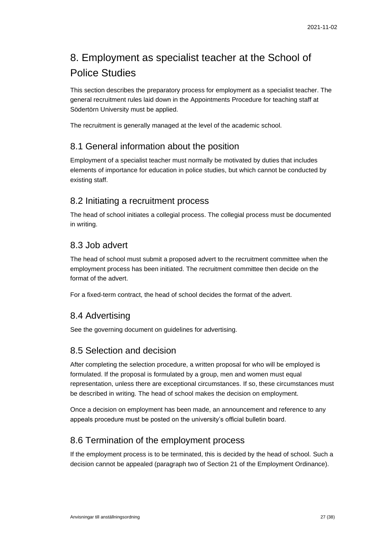# <span id="page-26-0"></span>8. Employment as specialist teacher at the School of Police Studies

This section describes the preparatory process for employment as a specialist teacher. The general recruitment rules laid down in the Appointments Procedure for teaching staff at Södertörn University must be applied.

The recruitment is generally managed at the level of the academic school.

## <span id="page-26-1"></span>8.1 General information about the position

Employment of a specialist teacher must normally be motivated by duties that includes elements of importance for education in police studies, but which cannot be conducted by existing staff.

## <span id="page-26-2"></span>8.2 Initiating a recruitment process

The head of school initiates a collegial process. The collegial process must be documented in writing.

## <span id="page-26-3"></span>8.3 Job advert

The head of school must submit a proposed advert to the recruitment committee when the employment process has been initiated. The recruitment committee then decide on the format of the advert.

For a fixed-term contract, the head of school decides the format of the advert.

## <span id="page-26-4"></span>8.4 Advertising

See the governing document on guidelines for advertising.

## <span id="page-26-5"></span>8.5 Selection and decision

After completing the selection procedure, a written proposal for who will be employed is formulated. If the proposal is formulated by a group, men and women must equal representation, unless there are exceptional circumstances. If so, these circumstances must be described in writing. The head of school makes the decision on employment.

Once a decision on employment has been made, an announcement and reference to any appeals procedure must be posted on the university's official bulletin board.

## <span id="page-26-6"></span>8.6 Termination of the employment process

If the employment process is to be terminated, this is decided by the head of school. Such a decision cannot be appealed (paragraph two of Section 21 of the Employment Ordinance).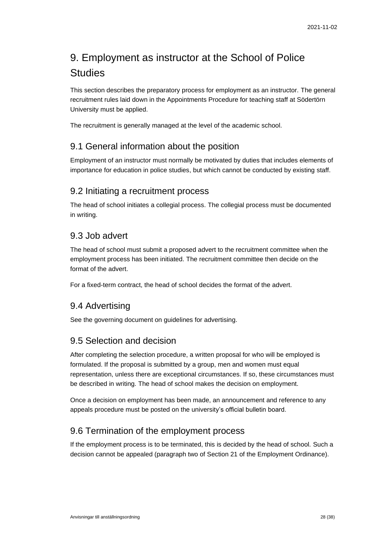# <span id="page-27-0"></span>9. Employment as instructor at the School of Police **Studies**

This section describes the preparatory process for employment as an instructor. The general recruitment rules laid down in the Appointments Procedure for teaching staff at Södertörn University must be applied.

The recruitment is generally managed at the level of the academic school.

## <span id="page-27-1"></span>9.1 General information about the position

Employment of an instructor must normally be motivated by duties that includes elements of importance for education in police studies, but which cannot be conducted by existing staff.

## <span id="page-27-2"></span>9.2 Initiating a recruitment process

The head of school initiates a collegial process. The collegial process must be documented in writing.

## <span id="page-27-3"></span>9.3 Job advert

The head of school must submit a proposed advert to the recruitment committee when the employment process has been initiated. The recruitment committee then decide on the format of the advert.

For a fixed-term contract, the head of school decides the format of the advert.

## <span id="page-27-4"></span>9.4 Advertising

See the governing document on guidelines for advertising.

## <span id="page-27-5"></span>9.5 Selection and decision

After completing the selection procedure, a written proposal for who will be employed is formulated. If the proposal is submitted by a group, men and women must equal representation, unless there are exceptional circumstances. If so, these circumstances must be described in writing. The head of school makes the decision on employment.

Once a decision on employment has been made, an announcement and reference to any appeals procedure must be posted on the university's official bulletin board.

## <span id="page-27-6"></span>9.6 Termination of the employment process

If the employment process is to be terminated, this is decided by the head of school. Such a decision cannot be appealed (paragraph two of Section 21 of the Employment Ordinance).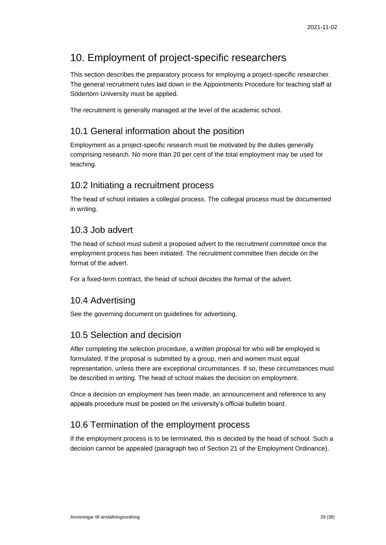# <span id="page-28-0"></span>10. Employment of project-specific researchers

This section describes the preparatory process for employing a project-specific researcher. The general recruitment rules laid down in the Appointments Procedure for teaching staff at Södertörn University must be applied.

The recruitment is generally managed at the level of the academic school.

# <span id="page-28-1"></span>10.1 General information about the position

Employment as a project-specific research must be motivated by the duties generally comprising research. No more than 20 per cent of the total employment may be used for teaching.

## <span id="page-28-2"></span>10.2 Initiating a recruitment process

The head of school initiates a collegial process. The collegial process must be documented in writing.

## <span id="page-28-3"></span>10.3 Job advert

The head of school must submit a proposed advert to the recruitment committee once the employment process has been initiated. The recruitment committee then decide on the format of the advert.

For a fixed-term contract, the head of school decides the format of the advert.

# <span id="page-28-4"></span>10.4 Advertising

See the governing document on guidelines for advertising.

# <span id="page-28-5"></span>10.5 Selection and decision

After completing the selection procedure, a written proposal for who will be employed is formulated. If the proposal is submitted by a group, men and women must equal representation, unless there are exceptional circumstances. If so, these circumstances must be described in writing. The head of school makes the decision on employment.

Once a decision on employment has been made, an announcement and reference to any appeals procedure must be posted on the university's official bulletin board.

# <span id="page-28-6"></span>10.6 Termination of the employment process

If the employment process is to be terminated, this is decided by the head of school. Such a decision cannot be appealed (paragraph two of Section 21 of the Employment Ordinance).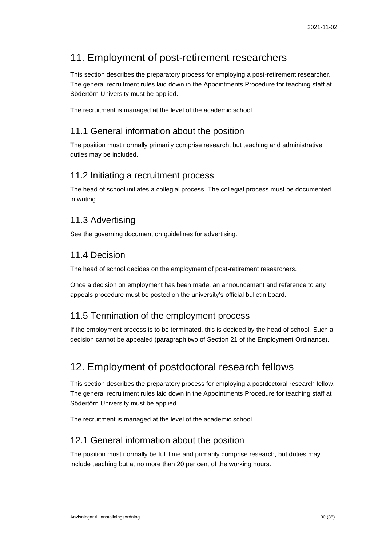# <span id="page-29-0"></span>11. Employment of post-retirement researchers

This section describes the preparatory process for employing a post-retirement researcher. The general recruitment rules laid down in the Appointments Procedure for teaching staff at Södertörn University must be applied.

The recruitment is managed at the level of the academic school.

# <span id="page-29-1"></span>11.1 General information about the position

The position must normally primarily comprise research, but teaching and administrative duties may be included.

## <span id="page-29-2"></span>11.2 Initiating a recruitment process

The head of school initiates a collegial process. The collegial process must be documented in writing.

## <span id="page-29-3"></span>11.3 Advertising

See the governing document on guidelines for advertising.

# <span id="page-29-4"></span>11.4 Decision

The head of school decides on the employment of post-retirement researchers.

Once a decision on employment has been made, an announcement and reference to any appeals procedure must be posted on the university's official bulletin board.

# <span id="page-29-5"></span>11.5 Termination of the employment process

If the employment process is to be terminated, this is decided by the head of school. Such a decision cannot be appealed (paragraph two of Section 21 of the Employment Ordinance).

# <span id="page-29-6"></span>12. Employment of postdoctoral research fellows

This section describes the preparatory process for employing a postdoctoral research fellow. The general recruitment rules laid down in the Appointments Procedure for teaching staff at Södertörn University must be applied.

The recruitment is managed at the level of the academic school.

# <span id="page-29-7"></span>12.1 General information about the position

The position must normally be full time and primarily comprise research, but duties may include teaching but at no more than 20 per cent of the working hours.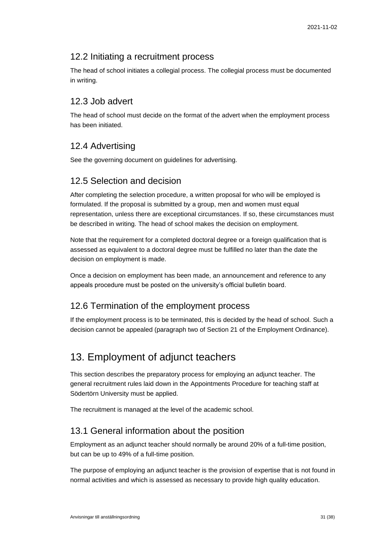## <span id="page-30-0"></span>12.2 Initiating a recruitment process

The head of school initiates a collegial process. The collegial process must be documented in writing.

## <span id="page-30-1"></span>12.3 Job advert

The head of school must decide on the format of the advert when the employment process has been initiated.

## <span id="page-30-2"></span>12.4 Advertising

See the governing document on guidelines for advertising.

## <span id="page-30-3"></span>12.5 Selection and decision

After completing the selection procedure, a written proposal for who will be employed is formulated. If the proposal is submitted by a group, men and women must equal representation, unless there are exceptional circumstances. If so, these circumstances must be described in writing. The head of school makes the decision on employment.

Note that the requirement for a completed doctoral degree or a foreign qualification that is assessed as equivalent to a doctoral degree must be fulfilled no later than the date the decision on employment is made.

Once a decision on employment has been made, an announcement and reference to any appeals procedure must be posted on the university's official bulletin board.

# <span id="page-30-4"></span>12.6 Termination of the employment process

If the employment process is to be terminated, this is decided by the head of school. Such a decision cannot be appealed (paragraph two of Section 21 of the Employment Ordinance).

# <span id="page-30-5"></span>13. Employment of adjunct teachers

This section describes the preparatory process for employing an adjunct teacher. The general recruitment rules laid down in the Appointments Procedure for teaching staff at Södertörn University must be applied.

The recruitment is managed at the level of the academic school.

## <span id="page-30-6"></span>13.1 General information about the position

Employment as an adjunct teacher should normally be around 20% of a full-time position, but can be up to 49% of a full-time position.

The purpose of employing an adjunct teacher is the provision of expertise that is not found in normal activities and which is assessed as necessary to provide high quality education.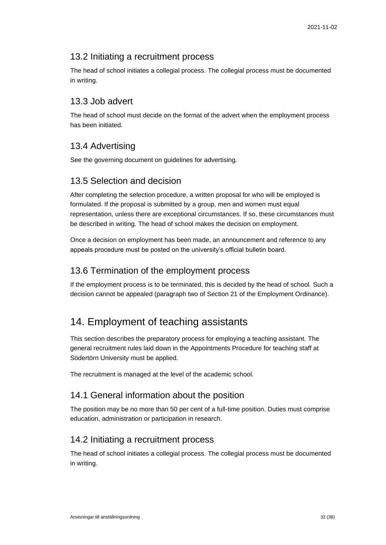## <span id="page-31-0"></span>13.2 Initiating a recruitment process

The head of school initiates a collegial process. The collegial process must be documented in writing.

## <span id="page-31-1"></span>13.3 Job advert

The head of school must decide on the format of the advert when the employment process has been initiated.

# <span id="page-31-2"></span>13.4 Advertising

See the governing document on guidelines for advertising.

## <span id="page-31-3"></span>13.5 Selection and decision

After completing the selection procedure, a written proposal for who will be employed is formulated. If the proposal is submitted by a group, men and women must equal representation, unless there are exceptional circumstances. If so, these circumstances must be described in writing. The head of school makes the decision on employment.

Once a decision on employment has been made, an announcement and reference to any appeals procedure must be posted on the university's official bulletin board.

## <span id="page-31-4"></span>13.6 Termination of the employment process

If the employment process is to be terminated, this is decided by the head of school. Such a decision cannot be appealed (paragraph two of Section 21 of the Employment Ordinance).

# <span id="page-31-5"></span>14. Employment of teaching assistants

This section describes the preparatory process for employing a teaching assistant. The general recruitment rules laid down in the Appointments Procedure for teaching staff at Södertörn University must be applied.

The recruitment is managed at the level of the academic school.

## <span id="page-31-6"></span>14.1 General information about the position

The position may be no more than 50 per cent of a full-time position. Duties must comprise education, administration or participation in research.

# <span id="page-31-7"></span>14.2 Initiating a recruitment process

The head of school initiates a collegial process. The collegial process must be documented in writing.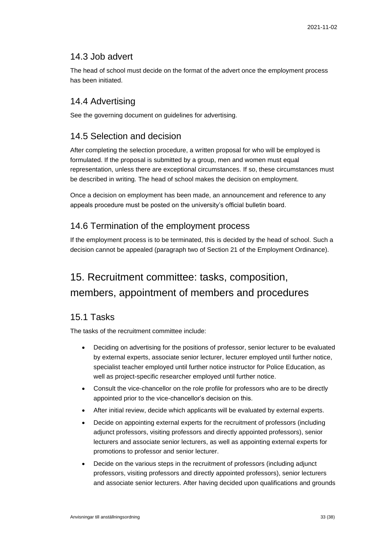## <span id="page-32-0"></span>14.3 Job advert

The head of school must decide on the format of the advert once the employment process has been initiated.

## <span id="page-32-1"></span>14.4 Advertising

See the governing document on guidelines for advertising.

# <span id="page-32-2"></span>14.5 Selection and decision

After completing the selection procedure, a written proposal for who will be employed is formulated. If the proposal is submitted by a group, men and women must equal representation, unless there are exceptional circumstances. If so, these circumstances must be described in writing. The head of school makes the decision on employment.

Once a decision on employment has been made, an announcement and reference to any appeals procedure must be posted on the university's official bulletin board.

# <span id="page-32-3"></span>14.6 Termination of the employment process

If the employment process is to be terminated, this is decided by the head of school. Such a decision cannot be appealed (paragraph two of Section 21 of the Employment Ordinance).

# <span id="page-32-4"></span>15. Recruitment committee: tasks, composition, members, appointment of members and procedures

# <span id="page-32-5"></span>15.1 Tasks

The tasks of the recruitment committee include:

- Deciding on advertising for the positions of professor, senior lecturer to be evaluated by external experts, associate senior lecturer, lecturer employed until further notice, specialist teacher employed until further notice instructor for Police Education, as well as project-specific researcher employed until further notice.
- Consult the vice-chancellor on the role profile for professors who are to be directly appointed prior to the vice-chancellor's decision on this.
- After initial review, decide which applicants will be evaluated by external experts.
- Decide on appointing external experts for the recruitment of professors (including adjunct professors, visiting professors and directly appointed professors), senior lecturers and associate senior lecturers, as well as appointing external experts for promotions to professor and senior lecturer.
- Decide on the various steps in the recruitment of professors (including adjunct professors, visiting professors and directly appointed professors), senior lecturers and associate senior lecturers. After having decided upon qualifications and grounds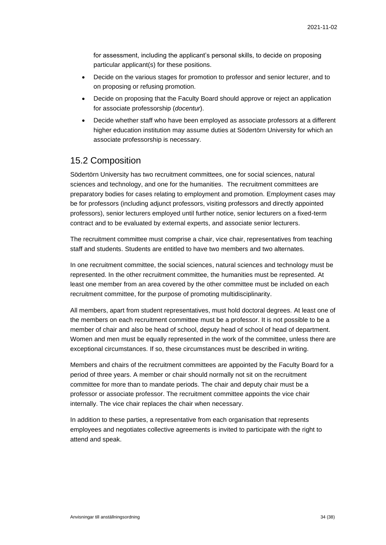for assessment, including the applicant's personal skills, to decide on proposing particular applicant(s) for these positions.

- Decide on the various stages for promotion to professor and senior lecturer, and to on proposing or refusing promotion.
- Decide on proposing that the Faculty Board should approve or reject an application for associate professorship (*docentur*).
- Decide whether staff who have been employed as associate professors at a different higher education institution may assume duties at Södertörn University for which an associate professorship is necessary.

## <span id="page-33-0"></span>15.2 Composition

Södertörn University has two recruitment committees, one for social sciences, natural sciences and technology, and one for the humanities. The recruitment committees are preparatory bodies for cases relating to employment and promotion. Employment cases may be for professors (including adjunct professors, visiting professors and directly appointed professors), senior lecturers employed until further notice, senior lecturers on a fixed-term contract and to be evaluated by external experts, and associate senior lecturers.

The recruitment committee must comprise a chair, vice chair, representatives from teaching staff and students. Students are entitled to have two members and two alternates.

In one recruitment committee, the social sciences, natural sciences and technology must be represented. In the other recruitment committee, the humanities must be represented. At least one member from an area covered by the other committee must be included on each recruitment committee, for the purpose of promoting multidisciplinarity.

All members, apart from student representatives, must hold doctoral degrees. At least one of the members on each recruitment committee must be a professor. It is not possible to be a member of chair and also be head of school, deputy head of school of head of department. Women and men must be equally represented in the work of the committee, unless there are exceptional circumstances. If so, these circumstances must be described in writing.

Members and chairs of the recruitment committees are appointed by the Faculty Board for a period of three years. A member or chair should normally not sit on the recruitment committee for more than to mandate periods. The chair and deputy chair must be a professor or associate professor. The recruitment committee appoints the vice chair internally. The vice chair replaces the chair when necessary.

In addition to these parties, a representative from each organisation that represents employees and negotiates collective agreements is invited to participate with the right to attend and speak.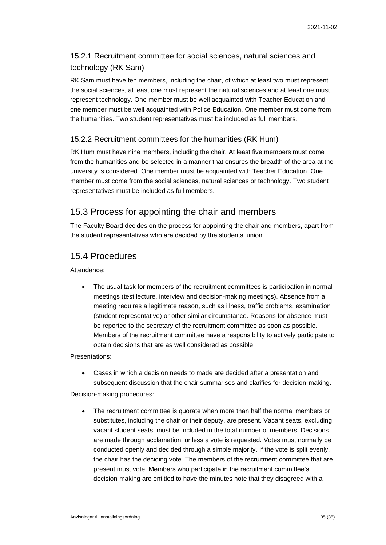## 15.2.1 Recruitment committee for social sciences, natural sciences and technology (RK Sam)

RK Sam must have ten members, including the chair, of which at least two must represent the social sciences, at least one must represent the natural sciences and at least one must represent technology. One member must be well acquainted with Teacher Education and one member must be well acquainted with Police Education. One member must come from the humanities. Two student representatives must be included as full members.

#### 15.2.2 Recruitment committees for the humanities (RK Hum)

RK Hum must have nine members, including the chair. At least five members must come from the humanities and be selected in a manner that ensures the breadth of the area at the university is considered. One member must be acquainted with Teacher Education. One member must come from the social sciences, natural sciences or technology. Two student representatives must be included as full members.

## <span id="page-34-0"></span>15.3 Process for appointing the chair and members

The Faculty Board decides on the process for appointing the chair and members, apart from the student representatives who are decided by the students' union.

## <span id="page-34-1"></span>15.4 Procedures

Attendance:

• The usual task for members of the recruitment committees is participation in normal meetings (test lecture, interview and decision-making meetings). Absence from a meeting requires a legitimate reason, such as illness, traffic problems, examination (student representative) or other similar circumstance. Reasons for absence must be reported to the secretary of the recruitment committee as soon as possible. Members of the recruitment committee have a responsibility to actively participate to obtain decisions that are as well considered as possible.

Presentations:

• Cases in which a decision needs to made are decided after a presentation and subsequent discussion that the chair summarises and clarifies for decision-making.

Decision-making procedures:

• The recruitment committee is quorate when more than half the normal members or substitutes, including the chair or their deputy, are present. Vacant seats, excluding vacant student seats, must be included in the total number of members. Decisions are made through acclamation, unless a vote is requested. Votes must normally be conducted openly and decided through a simple majority. If the vote is split evenly, the chair has the deciding vote. The members of the recruitment committee that are present must vote. Members who participate in the recruitment committee's decision-making are entitled to have the minutes note that they disagreed with a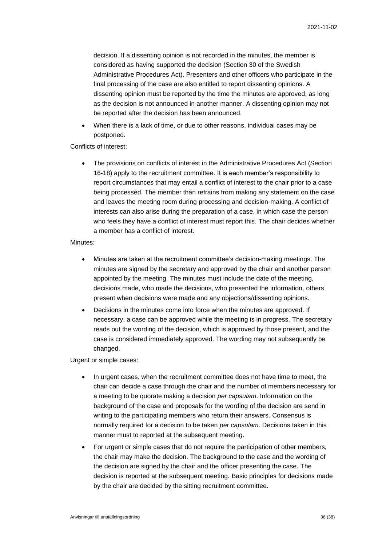decision. If a dissenting opinion is not recorded in the minutes, the member is considered as having supported the decision (Section 30 of the Swedish Administrative Procedures Act). Presenters and other officers who participate in the final processing of the case are also entitled to report dissenting opinions. A dissenting opinion must be reported by the time the minutes are approved, as long as the decision is not announced in another manner. A dissenting opinion may not be reported after the decision has been announced.

• When there is a lack of time, or due to other reasons, individual cases may be postponed.

#### Conflicts of interest:

• The provisions on conflicts of interest in the Administrative Procedures Act (Section 16-18) apply to the recruitment committee. It is each member's responsibility to report circumstances that may entail a conflict of interest to the chair prior to a case being processed. The member than refrains from making any statement on the case and leaves the meeting room during processing and decision-making. A conflict of interests can also arise during the preparation of a case, in which case the person who feels they have a conflict of interest must report this. The chair decides whether a member has a conflict of interest.

#### Minutes:

- Minutes are taken at the recruitment committee's decision-making meetings. The minutes are signed by the secretary and approved by the chair and another person appointed by the meeting. The minutes must include the date of the meeting, decisions made, who made the decisions, who presented the information, others present when decisions were made and any objections/dissenting opinions.
- Decisions in the minutes come into force when the minutes are approved. If necessary, a case can be approved while the meeting is in progress. The secretary reads out the wording of the decision, which is approved by those present, and the case is considered immediately approved. The wording may not subsequently be changed.

#### Urgent or simple cases:

- In urgent cases, when the recruitment committee does not have time to meet, the chair can decide a case through the chair and the number of members necessary for a meeting to be quorate making a decision *per capsulam*. Information on the background of the case and proposals for the wording of the decision are send in writing to the participating members who return their answers. Consensus is normally required for a decision to be taken *per capsulam*. Decisions taken in this manner must to reported at the subsequent meeting.
- For urgent or simple cases that do not require the participation of other members, the chair may make the decision. The background to the case and the wording of the decision are signed by the chair and the officer presenting the case. The decision is reported at the subsequent meeting. Basic principles for decisions made by the chair are decided by the sitting recruitment committee.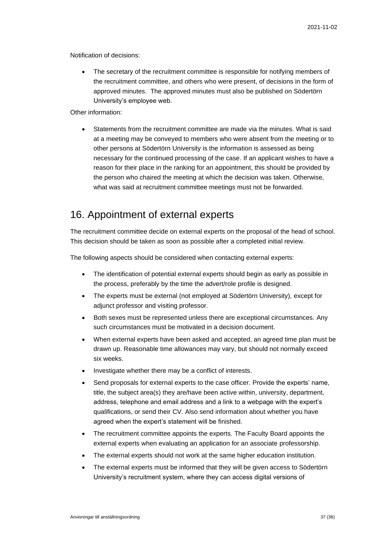Notification of decisions:

The secretary of the recruitment committee is responsible for notifying members of the recruitment committee, and others who were present, of decisions in the form of approved minutes. The approved minutes must also be published on Södertörn University's employee web.

Other information:

• Statements from the recruitment committee are made via the minutes. What is said at a meeting may be conveyed to members who were absent from the meeting or to other persons at Södertörn University is the information is assessed as being necessary for the continued processing of the case. If an applicant wishes to have a reason for their place in the ranking for an appointment, this should be provided by the person who chaired the meeting at which the decision was taken. Otherwise, what was said at recruitment committee meetings must not be forwarded.

# <span id="page-36-0"></span>16. Appointment of external experts

The recruitment committee decide on external experts on the proposal of the head of school. This decision should be taken as soon as possible after a completed initial review.

The following aspects should be considered when contacting external experts:

- The identification of potential external experts should begin as early as possible in the process, preferably by the time the advert/role profile is designed.
- The experts must be external (not employed at Södertörn University), except for adjunct professor and visiting professor.
- Both sexes must be represented unless there are exceptional circumstances. Any such circumstances must be motivated in a decision document.
- When external experts have been asked and accepted, an agreed time plan must be drawn up. Reasonable time allowances may vary, but should not normally exceed six weeks.
- Investigate whether there may be a conflict of interests.
- Send proposals for external experts to the case officer. Provide the experts' name, title, the subject area(s) they are/have been active within, university, department, address, telephone and email address and a link to a webpage with the expert's qualifications, or send their CV. Also send information about whether you have agreed when the expert's statement will be finished.
- The recruitment committee appoints the experts. The Faculty Board appoints the external experts when evaluating an application for an associate professorship.
- The external experts should not work at the same higher education institution.
- The external experts must be informed that they will be given access to Södertörn University's recruitment system, where they can access digital versions of